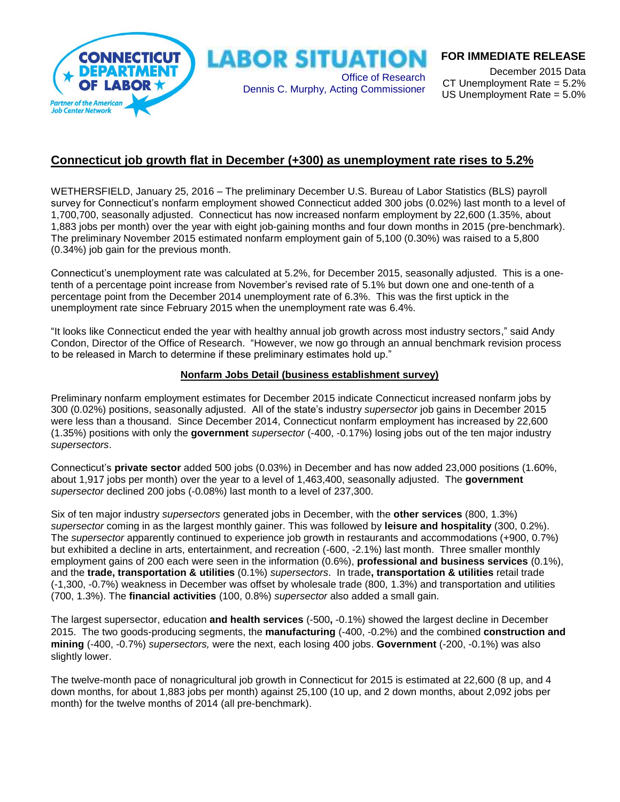

### **FOR IMMEDIATE RELEASE**

December 2015 Data CT Unemployment Rate = 5.2% US Unemployment Rate = 5.0%

## **Connecticut job growth flat in December (+300) as unemployment rate rises to 5.2%**

WETHERSFIELD, January 25, 2016 – The preliminary December U.S. Bureau of Labor Statistics (BLS) payroll survey for Connecticut's nonfarm employment showed Connecticut added 300 jobs (0.02%) last month to a level of 1,700,700, seasonally adjusted. Connecticut has now increased nonfarm employment by 22,600 (1.35%, about 1,883 jobs per month) over the year with eight job-gaining months and four down months in 2015 (pre-benchmark). The preliminary November 2015 estimated nonfarm employment gain of 5,100 (0.30%) was raised to a 5,800 (0.34%) job gain for the previous month.

Connecticut's unemployment rate was calculated at 5.2%, for December 2015, seasonally adjusted. This is a onetenth of a percentage point increase from November's revised rate of 5.1% but down one and one-tenth of a percentage point from the December 2014 unemployment rate of 6.3%. This was the first uptick in the unemployment rate since February 2015 when the unemployment rate was 6.4%.

"It looks like Connecticut ended the year with healthy annual job growth across most industry sectors," said Andy Condon, Director of the Office of Research. "However, we now go through an annual benchmark revision process to be released in March to determine if these preliminary estimates hold up."

#### **Nonfarm Jobs Detail (business establishment survey)**

Preliminary nonfarm employment estimates for December 2015 indicate Connecticut increased nonfarm jobs by 300 (0.02%) positions, seasonally adjusted. All of the state's industry *supersector* job gains in December 2015 were less than a thousand. Since December 2014, Connecticut nonfarm employment has increased by 22,600 (1.35%) positions with only the **government** *supersector* (-400, -0.17%) losing jobs out of the ten major industry *supersectors*.

Connecticut's **private sector** added 500 jobs (0.03%) in December and has now added 23,000 positions (1.60%, about 1,917 jobs per month) over the year to a level of 1,463,400, seasonally adjusted. The **government** *supersector* declined 200 jobs (-0.08%) last month to a level of 237,300.

Six of ten major industry *supersectors* generated jobs in December, with the **other services** (800, 1.3%) *supersector* coming in as the largest monthly gainer. This was followed by **leisure and hospitality** (300, 0.2%). The *supersector* apparently continued to experience job growth in restaurants and accommodations (+900, 0.7%) but exhibited a decline in arts, entertainment, and recreation (-600, -2.1%) last month. Three smaller monthly employment gains of 200 each were seen in the information (0.6%), **professional and business services** (0.1%), and the **trade, transportation & utilities** (0.1%) *supersectors*. In trade**, transportation & utilities** retail trade (-1,300, -0.7%) weakness in December was offset by wholesale trade (800, 1.3%) and transportation and utilities (700, 1.3%). The **financial activities** (100, 0.8%) *supersector* also added a small gain.

The largest supersector, education **and health services** (-500**,** -0.1%) showed the largest decline in December 2015. The two goods-producing segments, the **manufacturing** (-400, -0.2%) and the combined **construction and mining** (-400, -0.7%) *supersectors,* were the next, each losing 400 jobs. **Government** (-200, -0.1%) was also slightly lower.

The twelve-month pace of nonagricultural job growth in Connecticut for 2015 is estimated at 22,600 (8 up, and 4 down months, for about 1,883 jobs per month) against 25,100 (10 up, and 2 down months, about 2,092 jobs per month) for the twelve months of 2014 (all pre-benchmark).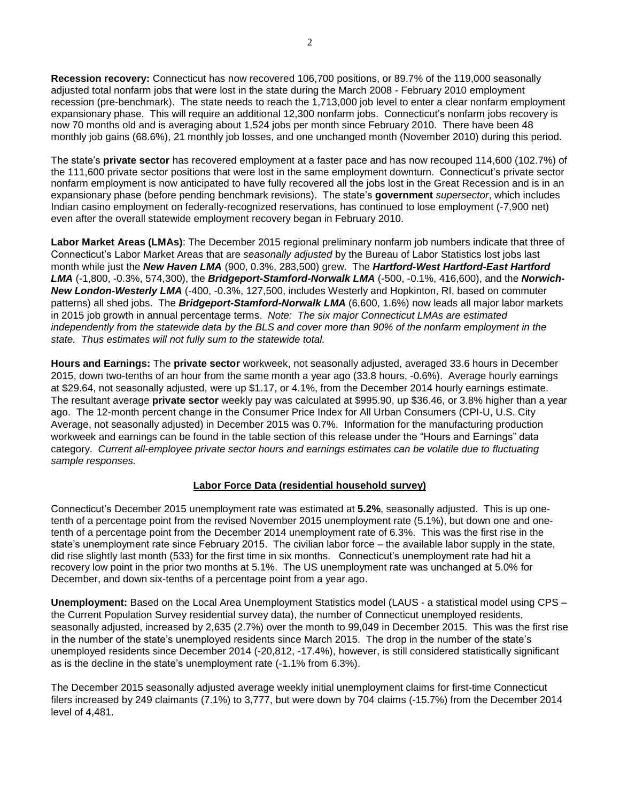**Recession recovery:** Connecticut has now recovered 106,700 positions, or 89.7% of the 119,000 seasonally adjusted total nonfarm jobs that were lost in the state during the March 2008 - February 2010 employment recession (pre-benchmark). The state needs to reach the 1,713,000 job level to enter a clear nonfarm employment expansionary phase. This will require an additional 12,300 nonfarm jobs. Connecticut's nonfarm jobs recovery is now 70 months old and is averaging about 1,524 jobs per month since February 2010. There have been 48 monthly job gains (68.6%), 21 monthly job losses, and one unchanged month (November 2010) during this period.

The state's **private sector** has recovered employment at a faster pace and has now recouped 114,600 (102.7%) of the 111,600 private sector positions that were lost in the same employment downturn. Connecticut's private sector nonfarm employment is now anticipated to have fully recovered all the jobs lost in the Great Recession and is in an expansionary phase (before pending benchmark revisions). The state's **government** *supersector*, which includes Indian casino employment on federally-recognized reservations, has continued to lose employment (-7,900 net) even after the overall statewide employment recovery began in February 2010.

**Labor Market Areas (LMAs)**: The December 2015 regional preliminary nonfarm job numbers indicate that three of Connecticut's Labor Market Areas that are *seasonally adjusted* by the Bureau of Labor Statistics lost jobs last month while just the *New Haven LMA* (900, 0.3%, 283,500) grew. The *Hartford-West Hartford-East Hartford LMA* (-1,800, -0.3%, 574,300), the *Bridgeport-Stamford-Norwalk LMA* (-500, -0.1%, 416,600), and the *Norwich-New London-Westerly LMA* (-400, -0.3%, 127,500, includes Westerly and Hopkinton, RI, based on commuter patterns) all shed jobs. The *Bridgeport-Stamford-Norwalk LMA* (6,600, 1.6%) now leads all major labor markets in 2015 job growth in annual percentage terms. *Note: The six major Connecticut LMAs are estimated independently from the statewide data by the BLS and cover more than 90% of the nonfarm employment in the state. Thus estimates will not fully sum to the statewide total.* 

**Hours and Earnings:** The **private sector** workweek, not seasonally adjusted, averaged 33.6 hours in December 2015, down two-tenths of an hour from the same month a year ago (33.8 hours, -0.6%). Average hourly earnings at \$29.64, not seasonally adjusted, were up \$1.17, or 4.1%, from the December 2014 hourly earnings estimate. The resultant average **private sector** weekly pay was calculated at \$995.90, up \$36.46, or 3.8% higher than a year ago. The 12-month percent change in the Consumer Price Index for All Urban Consumers (CPI-U, U.S. City Average, not seasonally adjusted) in December 2015 was 0.7%. Information for the manufacturing production workweek and earnings can be found in the table section of this release under the "Hours and Earnings" data category. *Current all-employee private sector hours and earnings estimates can be volatile due to fluctuating sample responses.*

#### **Labor Force Data (residential household survey)**

Connecticut's December 2015 unemployment rate was estimated at **5.2%**, seasonally adjusted. This is up onetenth of a percentage point from the revised November 2015 unemployment rate (5.1%), but down one and onetenth of a percentage point from the December 2014 unemployment rate of 6.3%. This was the first rise in the state's unemployment rate since February 2015. The civilian labor force – the available labor supply in the state, did rise slightly last month (533) for the first time in six months. Connecticut's unemployment rate had hit a recovery low point in the prior two months at 5.1%. The US unemployment rate was unchanged at 5.0% for December, and down six-tenths of a percentage point from a year ago.

**Unemployment:** Based on the Local Area Unemployment Statistics model (LAUS - a statistical model using CPS – the Current Population Survey residential survey data), the number of Connecticut unemployed residents, seasonally adjusted, increased by 2,635 (2.7%) over the month to 99,049 in December 2015. This was the first rise in the number of the state's unemployed residents since March 2015. The drop in the number of the state's unemployed residents since December 2014 (-20,812, -17.4%), however, is still considered statistically significant as is the decline in the state's unemployment rate (-1.1% from 6.3%).

The December 2015 seasonally adjusted average weekly initial unemployment claims for first-time Connecticut filers increased by 249 claimants (7.1%) to 3,777, but were down by 704 claims (-15.7%) from the December 2014 level of 4,481.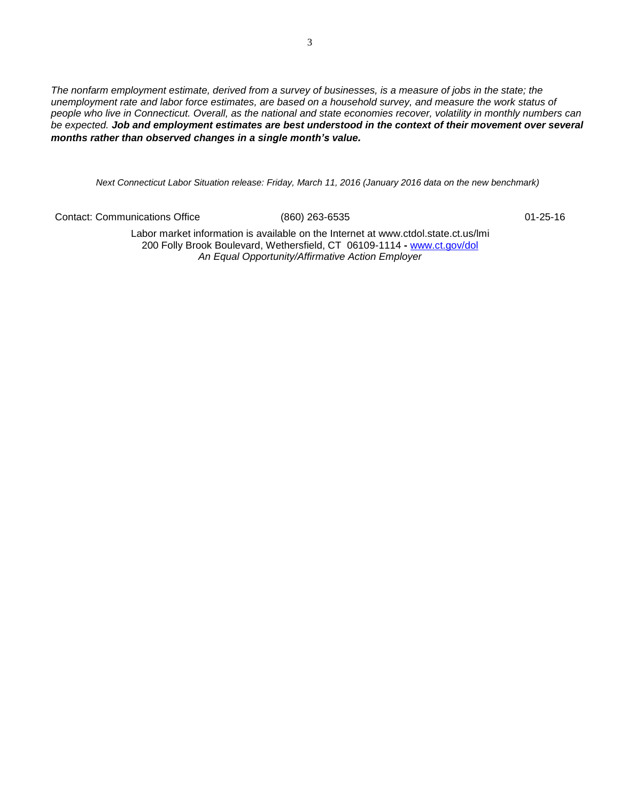*The nonfarm employment estimate, derived from a survey of businesses, is a measure of jobs in the state; the unemployment rate and labor force estimates, are based on a household survey, and measure the work status of people who live in Connecticut. Overall, as the national and state economies recover, volatility in monthly numbers can be expected. Job and employment estimates are best understood in the context of their movement over several months rather than observed changes in a single month's value.*

*Next Connecticut Labor Situation release: Friday, March 11, 2016 (January 2016 data on the new benchmark)*

Contact: Communications Office (860) 263-6535 01-25-16

Labor market information is available on the Internet at [www.ctdol.state.ct.us/lmi](http://www.ctdol.state.ct.us/lmi) 200 Folly Brook Boulevard, Wethersfield, CT 06109-1114 **-** [www.ct.gov/dol](http://www.ct.gov/dol) *An Equal Opportunity/Affirmative Action Employer*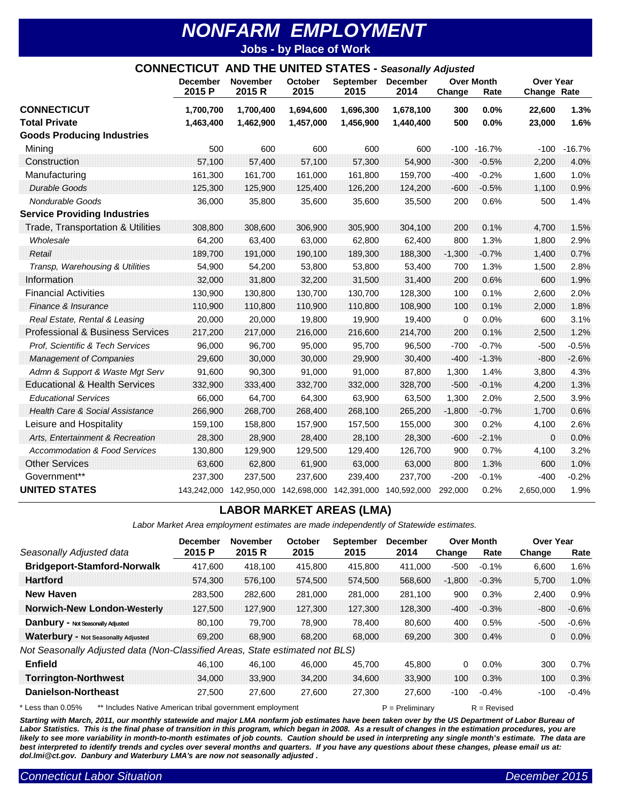## *NONFARM EMPLOYMENT* **Jobs - by Place of Work**

| <b>CONNECTICUT AND THE UNITED STATES - Seasonally Adjusted</b> |                           |                           |                 |                                                             |                         |             |                           |                                 |          |
|----------------------------------------------------------------|---------------------------|---------------------------|-----------------|-------------------------------------------------------------|-------------------------|-------------|---------------------------|---------------------------------|----------|
|                                                                | <b>December</b><br>2015 P | <b>November</b><br>2015 R | October<br>2015 | <b>September</b><br>2015                                    | <b>December</b><br>2014 | Change      | <b>Over Month</b><br>Rate | <b>Over Year</b><br>Change Rate |          |
| <b>CONNECTICUT</b>                                             | 1,700,700                 | 1.700.400                 | 1,694,600       | 1,696,300                                                   | 1,678,100               | 300         | 0.0%                      | 22,600                          | 1.3%     |
| <b>Total Private</b>                                           | 1,463,400                 | 1,462,900                 | 1,457,000       | 1,456,900                                                   | 1,440,400               | 500         | 0.0%                      | 23,000                          | 1.6%     |
| <b>Goods Producing Industries</b>                              |                           |                           |                 |                                                             |                         |             |                           |                                 |          |
| Mining                                                         | 500                       | 600                       | 600             | 600                                                         | 600                     |             | $-100 - 16.7%$            | $-100$                          | $-16.7%$ |
| Construction                                                   | 57,100                    | 57,400                    | 57,100          | 57,300                                                      | 54,900                  | $-300$      | $-0.5%$                   | 2,200                           | 4.0%     |
| Manufacturing                                                  | 161,300                   | 161,700                   | 161,000         | 161,800                                                     | 159,700                 | -400        | $-0.2%$                   | 1,600                           | 1.0%     |
| <b>Durable Goods</b>                                           | 125,300                   | 125,900                   | 125,400         | 126,200                                                     | 124,200                 | $-600$      | $-0.5%$                   | 1,100                           | 0.9%     |
| Nondurable Goods                                               | 36,000                    | 35,800                    | 35,600          | 35,600                                                      | 35,500                  | 200         | 0.6%                      | 500                             | 1.4%     |
| <b>Service Providing Industries</b>                            |                           |                           |                 |                                                             |                         |             |                           |                                 |          |
| <b>Trade, Transportation &amp; Utilities</b>                   | 308,800                   | 308,600                   | 306,900         | 305,900                                                     | 304,100                 | 200         | 0.1%                      | 4,700                           | 1.5%     |
| Wholesale                                                      | 64,200                    | 63,400                    | 63,000          | 62,800                                                      | 62,400                  | 800         | 1.3%                      | 1,800                           | 2.9%     |
| Retail                                                         | 189,700                   | 191,000                   | 190,100         | 189,300                                                     | 188,300                 | $-1,300$    | $-0.7%$                   | 1,400                           | 0.7%     |
| Transp, Warehousing & Utilities                                | 54,900                    | 54,200                    | 53,800          | 53,800                                                      | 53,400                  | 700         | 1.3%                      | 1,500                           | 2.8%     |
| Information                                                    | 32,000                    | 31,800                    | 32,200          | 31,500                                                      | 31,400                  | 200         | 0.6%                      | 600                             | 1.9%     |
| <b>Financial Activities</b>                                    | 130,900                   | 130,800                   | 130,700         | 130,700                                                     | 128,300                 | 100         | 0.1%                      | 2,600                           | 2.0%     |
| Finance & Insurance                                            | 110,900                   | 110,800                   | 110,900         | 110,800                                                     | 108,900                 | 100         | 0.1%                      | 2,000                           | 1.8%     |
| Real Estate, Rental & Leasing                                  | 20,000                    | 20,000                    | 19,800          | 19,900                                                      | 19,400                  | $\mathbf 0$ | 0.0%                      | 600                             | 3.1%     |
| <b>Professional &amp; Business Services</b>                    | 217,200                   | 217,000                   | 216,000         | 216,600                                                     | 214,700                 | 200         | 0.1%                      | 2.500                           | 1.2%     |
| Prof, Scientific & Tech Services                               | 96,000                    | 96,700                    | 95,000          | 95,700                                                      | 96,500                  | $-700$      | $-0.7%$                   | $-500$                          | $-0.5%$  |
| <b>Management of Companies</b>                                 | 29,600                    | 30,000                    | 30,000          | 29,900                                                      | 30,400                  | $-400$      | $-1.3%$                   | $-800$                          | $-2.6%$  |
| Admn & Support & Waste Mgt Serv                                | 91,600                    | 90,300                    | 91,000          | 91,000                                                      | 87,800                  | 1,300       | 1.4%                      | 3,800                           | 4.3%     |
| <b>Educational &amp; Health Services</b>                       | 332,900                   | 333,400                   | 332,700         | 332,000                                                     | 328,700                 | $-500$      | $-0.1%$                   | 4,200                           | 1.3%     |
| <b>Educational Services</b>                                    | 66,000                    | 64,700                    | 64,300          | 63,900                                                      | 63,500                  | 1,300       | 2.0%                      | 2,500                           | 3.9%     |
| <b>Health Care &amp; Social Assistance</b>                     | 266,900                   | 268,700                   | 268,400         | 268,100                                                     | 265,200                 | $-1,800$    | $-0.7%$                   | 1,700                           | 0.6%     |
| Leisure and Hospitality                                        | 159,100                   | 158,800                   | 157,900         | 157,500                                                     | 155,000                 | 300         | 0.2%                      | 4,100                           | 2.6%     |
| Arts, Entertainment & Recreation                               | 28,300                    | 28,900                    | 28,400          | 28,100                                                      | 28,300                  | $-600$      | $-2.1%$                   | 0                               | 0.0%     |
| <b>Accommodation &amp; Food Services</b>                       | 130,800                   | 129,900                   | 129,500         | 129,400                                                     | 126,700                 | 900         | 0.7%                      | 4,100                           | 3.2%     |
| <b>Other Services</b>                                          | 63,600                    | 62,800                    | 61,900          | 63,000                                                      | 63,000                  | 800         | 1.3%                      | 600                             | 1.0%     |
| Government**                                                   | 237,300                   | 237,500                   | 237,600         | 239,400                                                     | 237,700                 | $-200$      | $-0.1%$                   | $-400$                          | $-0.2%$  |
| <b>UNITED STATES</b>                                           |                           |                           |                 | 143,242,000 142,950,000 142,698,000 142,391,000 140,592,000 |                         | 292,000     | 0.2%                      | 2,650,000                       | 1.9%     |

## **LABOR MARKET AREAS (LMA)**

*Labor Market Area employment estimates are made independently of Statewide estimates.*

|                                                                               | <b>December</b> | <b>November</b>    | October                  | <b>September</b> | <b>December</b> |          | <b>Over Month</b> | <b>Over Year</b> |         |
|-------------------------------------------------------------------------------|-----------------|--------------------|--------------------------|------------------|-----------------|----------|-------------------|------------------|---------|
| Seasonally Adjusted data                                                      | 2015 P          | 2015 R             | 2015                     | 2015             | 2014            | Change   | Rate              | Change           | Rate    |
| <b>Bridgeport-Stamford-Norwalk</b>                                            | 417,600         | 418,100            | 415,800                  | 415,800          | 411,000         | $-500$   | $-0.1%$           | 6,600            | 1.6%    |
| <b>Hartford</b>                                                               | 574.300         | 576.100            | 574,500                  | 574,500          | 568,600         | $-1,800$ | $-0.3%$           | 5.700            | 1.0%    |
| <b>New Haven</b>                                                              | 283,500         | 282,600            | 281.000                  | 281,000          | 281,100         | 900      | 0.3%              | 2.400            | 0.9%    |
| <b>Norwich-New London-Westerly</b>                                            | 127,500         | 127,900            | 127,300                  | 127,300          | 128,300         | $-400$   | $-0.3%$           | $-800$           | $-0.6%$ |
| <b>Danbury - Not Seasonally Adjusted</b>                                      | 80,100          | 79,700             | 78,900                   | 78,400           | 80,600          | 400      | 0.5%              | $-500$           | $-0.6%$ |
| <b>Waterbury - Not Seasonally Adjusted</b>                                    | 69,200          | 68,900             | 68.200                   | 68.000           | 69.200          | 300      | 0.4%              | 0                | 0.0%    |
| Not Seasonally Adjusted data (Non-Classified Areas,                           |                 |                    | State estimated not BLS) |                  |                 |          |                   |                  |         |
| <b>Enfield</b>                                                                | 46,100          | 46,100             | 46,000                   | 45,700           | 45,800          | 0        | $0.0\%$           | 300              | 0.7%    |
| <b>Torrington-Northwest</b>                                                   | 34,000          | 33,900             | 34.200                   | 34,600           | 33,900          | 100      | 0.3%              | 100              | 0.3%    |
| <b>Danielson-Northeast</b>                                                    | 27,500          | 27,600             | 27,600                   | 27,300           | 27,600          | $-100$   | $-0.4%$           | $-100$           | $-0.4%$ |
| ** Includes Native American tribal government employment<br>* Less than 0.05% |                 | $P = P$ reliminary |                          | $R =$ Revised    |                 |          |                   |                  |         |

Starting with March, 2011, our monthly statewide and major LMA nonfarm job estimates have been taken over by the US Department of Labor Bureau of Labor Statistics. This is the final phase of transition in this program, which began in 2008. As a result of changes in the estimation procedures, you are likely to see more variability in month-to-month estimates of job counts. Caution should be used in interpreting any single month's estimate. The data are *best interpreted to identify trends and cycles over several months and quarters. If you have any questions about these changes, please email us at: dol.lmi@ct.gov. Danbury and Waterbury LMA's are now not seasonally adjusted .*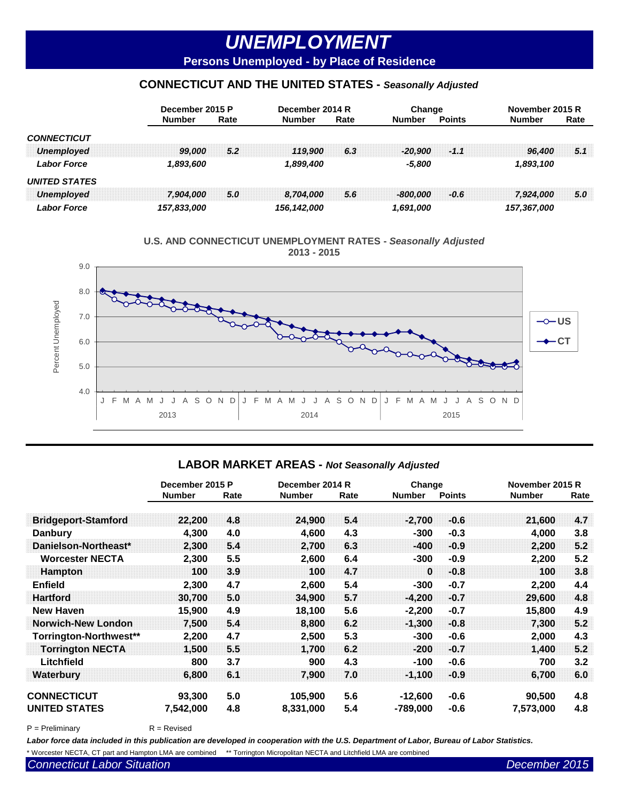# *UNEMPLOYMENT*

**Persons Unemployed - by Place of Residence**

## **CONNECTICUT AND THE UNITED STATES -** *Seasonally Adjusted*



**U.S. AND CONNECTICUT UNEMPLOYMENT RATES -** *Seasonally Adjusted*  **2013 - 2015**



#### **LABOR MARKET AREAS -** *Not Seasonally Adjusted*

|                            | December 2015 P |      |               | December 2014 R |               | Change        | November 2015 R |      |  |
|----------------------------|-----------------|------|---------------|-----------------|---------------|---------------|-----------------|------|--|
|                            | <b>Number</b>   | Rate | <b>Number</b> | Rate            | <b>Number</b> | <b>Points</b> | <b>Number</b>   | Rate |  |
| <b>Bridgeport-Stamford</b> | 22,200          | 4.8  | 24,900        | 5.4             | $-2,700$      | $-0.6$        | 21,600          | 4.7  |  |
| <b>Danbury</b>             | 4,300           | 4.0  | 4,600         | 4.3             | $-300$        | $-0.3$        | 4,000           | 3.8  |  |
| Danielson-Northeast*       | 2,300           | 5.4  | 2,700         | 6.3             | $-400$        | $-0.9$        | 2,200           | 5.2  |  |
| <b>Worcester NECTA</b>     | 2,300           | 5.5  | 2,600         | 6.4             | -300          | $-0.9$        | 2,200           | 5.2  |  |
| <b>Hampton</b>             | 100             | 3.9  | 100           | 4.7             | $\bf{0}$      | $-0.8$        | 100             | 3.8  |  |
| <b>Enfield</b>             | 2,300           | 4.7  | 2,600         | 5.4             | -300          | $-0.7$        | 2,200           | 4.4  |  |
| <b>Hartford</b>            | 30,700          | 5.0  | 34,900        | 5.7             | $-4.200$      | $-0.7$        | 29,600          | 4.8  |  |
| <b>New Haven</b>           | 15,900          | 4.9  | 18,100        | 5.6             | $-2,200$      | $-0.7$        | 15,800          | 4.9  |  |
| <b>Norwich-New London</b>  | 7,500           | 5.4  | 8,800         | 6.2             | $-1.300$      | $-0.8$        | 7,300           | 5.2  |  |
| Torrington-Northwest**     | 2,200           | 4.7  | 2,500         | 5.3             | -300          | $-0.6$        | 2,000           | 4.3  |  |
| <b>Torrington NECTA</b>    | 1,500           | 5.5  | 1,700         | 6 <sub>2</sub>  | $-200$        | $-0.7$        | 1,400           | 5.2  |  |
| Litchfield                 | 800             | 3.7  | 900           | 4.3             | $-100$        | -0.6          | 700             | 3.2  |  |
| <b>Waterbury</b>           | 6,800           | 6.1  | 7.900         | 7.0             | $-1,100$      | $-0.9$        | 6,700           | 6.0  |  |
| <b>CONNECTICUT</b>         | 93,300          | 5.0  | 105,900       | 5.6             | $-12,600$     | $-0.6$        | 90,500          | 4.8  |  |
| <b>UNITED STATES</b>       | 7,542,000       | 4.8  | 8,331,000     | 5.4             | $-789,000$    | -0.6          | 7,573,000       | 4.8  |  |

 $P = Preliminary$   $R = Revised$ 

*Labor force data included in this publication are developed in cooperation with the U.S. Department of Labor, Bureau of Labor Statistics.* \* Worcester NECTA, CT part and Hampton LMA are combined \*\* Torrington Micropolitan NECTA and Litchfield LMA are combined

**Connecticut Labor Situation According to the Connecticut Labor 2015**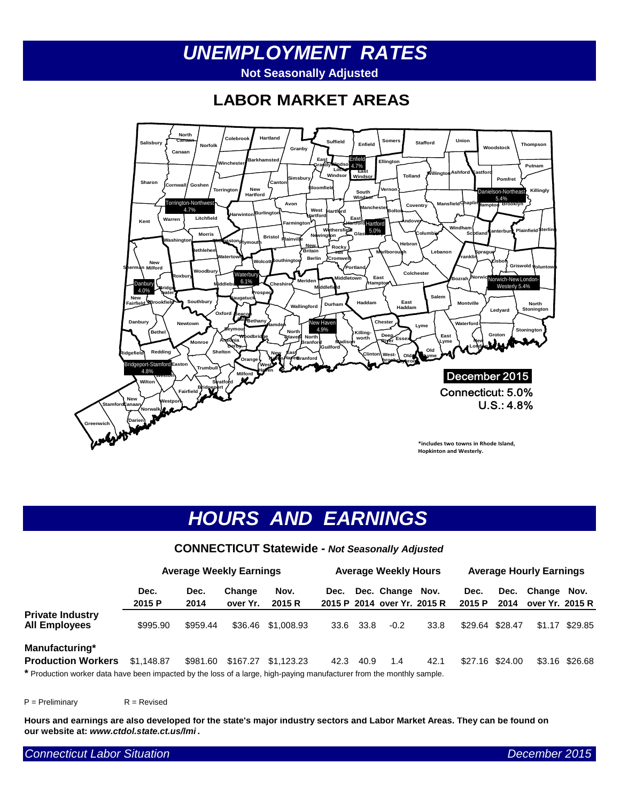# *UNEMPLOYMENT RATES*  **Not Seasonally Adjusted**

**LABOR MARKET AREAS**



# *HOURS AND EARNINGS*

#### **CONNECTICUT Statewide -** *Not Seasonally Adjusted*

|                                                                                                                       | <b>Average Weekly Earnings</b> |              |                    | <b>Average Weekly Hours</b> |      |      |                                            | <b>Average Hourly Earnings</b> |                |                 |                           |                |
|-----------------------------------------------------------------------------------------------------------------------|--------------------------------|--------------|--------------------|-----------------------------|------|------|--------------------------------------------|--------------------------------|----------------|-----------------|---------------------------|----------------|
|                                                                                                                       | Dec.<br>2015 P                 | Dec.<br>2014 | Change<br>over Yr. | Nov.<br>2015 R              | Dec. |      | Dec. Change<br>2015 P 2014 over Yr. 2015 R | Nov.                           | Dec.<br>2015 P | Dec.<br>2014    | Change<br>over Yr. 2015 R | Nov.           |
| <b>Private Industry</b><br><b>All Employees</b>                                                                       | \$995.90                       | \$959.44     | \$36.46            | \$1,008.93                  | 33.6 | 33.8 | $-0.2$                                     | 33.8                           |                | \$29.64 \$28.47 | \$1.17                    | \$29.85        |
| Manufacturing*<br><b>Production Workers</b>                                                                           | \$1.148.87                     | \$981.60     | \$167.27           | \$1.123.23                  | 42.3 | 40.9 | 1.4                                        | 42.1                           |                | \$27.16 \$24.00 |                           | \$3.16 \$26.68 |
| * Production worker data have been impacted by the loss of a large, high-paying manufacturer from the monthly sample. |                                |              |                    |                             |      |      |                                            |                                |                |                 |                           |                |

 $P =$  Preliminary  $R =$  Revised

**Hours and earnings are also developed for the state's major industry sectors and Labor Market Areas. They can be found on our website at:** *www.ctdol.state.ct.us/lmi* **.**